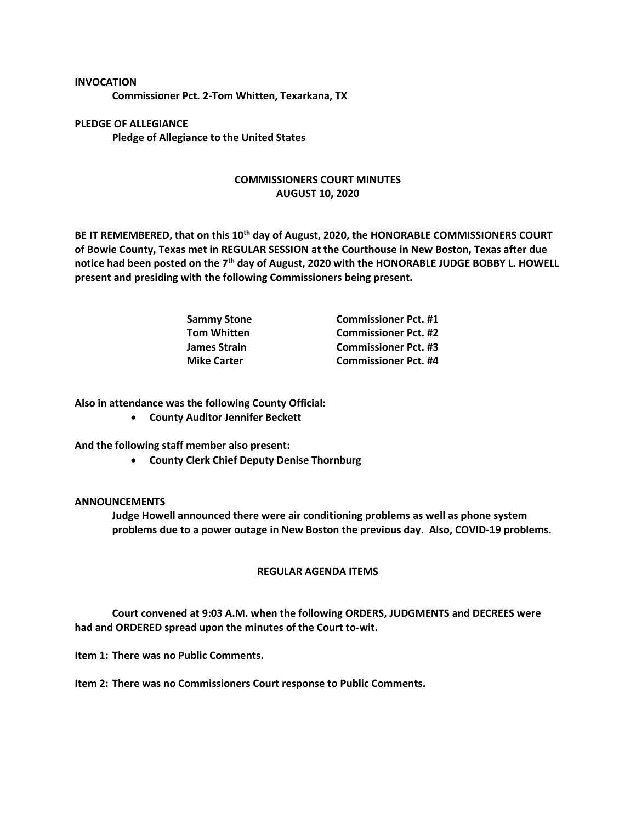**INVOCATION Commissioner Pct. 2-Tom Whitten, Texarkana, TX**

**PLEDGE OF ALLEGIANCE Pledge of Allegiance to the United States**

## **COMMISSIONERS COURT MINUTES AUGUST 10, 2020**

**BE IT REMEMBERED, that on this 10th day of August, 2020, the HONORABLE COMMISSIONERS COURT of Bowie County, Texas met in REGULAR SESSION at the Courthouse in New Boston, Texas after due notice had been posted on the 7th day of August, 2020 with the HONORABLE JUDGE BOBBY L. HOWELL present and presiding with the following Commissioners being present.**

| Sammy Stone        | <b>Commissioner Pct. #1</b> |
|--------------------|-----------------------------|
| Tom Whitten        | <b>Commissioner Pct. #2</b> |
| James Strain       | <b>Commissioner Pct. #3</b> |
| <b>Mike Carter</b> | <b>Commissioner Pct. #4</b> |

**Also in attendance was the following County Official:**

• **County Auditor Jennifer Beckett**

**And the following staff member also present:**

• **County Clerk Chief Deputy Denise Thornburg**

## **ANNOUNCEMENTS**

**Judge Howell announced there were air conditioning problems as well as phone system problems due to a power outage in New Boston the previous day. Also, COVID-19 problems.**

## **REGULAR AGENDA ITEMS**

**Court convened at 9:03 A.M. when the following ORDERS, JUDGMENTS and DECREES were had and ORDERED spread upon the minutes of the Court to-wit.**

**Item 1: There was no Public Comments.**

**Item 2: There was no Commissioners Court response to Public Comments.**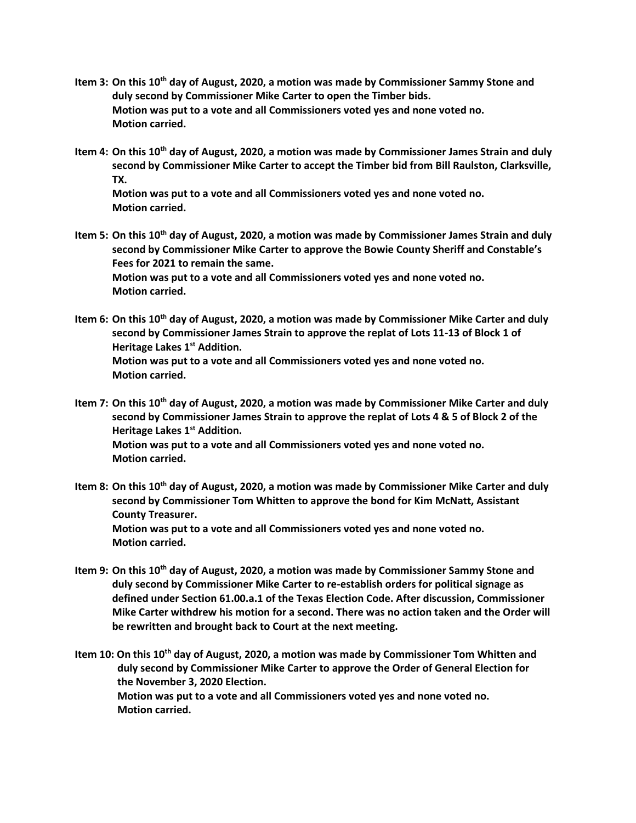- **Item 3: On this 10th day of August, 2020, a motion was made by Commissioner Sammy Stone and duly second by Commissioner Mike Carter to open the Timber bids. Motion was put to a vote and all Commissioners voted yes and none voted no. Motion carried.**
- **Item 4: On this 10th day of August, 2020, a motion was made by Commissioner James Strain and duly second by Commissioner Mike Carter to accept the Timber bid from Bill Raulston, Clarksville, TX.**

**Motion was put to a vote and all Commissioners voted yes and none voted no. Motion carried.**

- **Item 5: On this 10th day of August, 2020, a motion was made by Commissioner James Strain and duly second by Commissioner Mike Carter to approve the Bowie County Sheriff and Constable's Fees for 2021 to remain the same. Motion was put to a vote and all Commissioners voted yes and none voted no. Motion carried.**
- **Item 6: On this 10th day of August, 2020, a motion was made by Commissioner Mike Carter and duly second by Commissioner James Strain to approve the replat of Lots 11-13 of Block 1 of Heritage Lakes 1st Addition. Motion was put to a vote and all Commissioners voted yes and none voted no. Motion carried.**

**Item 7: On this 10th day of August, 2020, a motion was made by Commissioner Mike Carter and duly second by Commissioner James Strain to approve the replat of Lots 4 & 5 of Block 2 of the Heritage Lakes 1st Addition. Motion was put to a vote and all Commissioners voted yes and none voted no. Motion carried.**

- **Item 8: On this 10th day of August, 2020, a motion was made by Commissioner Mike Carter and duly second by Commissioner Tom Whitten to approve the bond for Kim McNatt, Assistant County Treasurer. Motion was put to a vote and all Commissioners voted yes and none voted no. Motion carried.**
- **Item 9: On this 10th day of August, 2020, a motion was made by Commissioner Sammy Stone and duly second by Commissioner Mike Carter to re-establish orders for political signage as defined under Section 61.00.a.1 of the Texas Election Code. After discussion, Commissioner Mike Carter withdrew his motion for a second. There was no action taken and the Order will be rewritten and brought back to Court at the next meeting.**

**Item 10: On this 10th day of August, 2020, a motion was made by Commissioner Tom Whitten and duly second by Commissioner Mike Carter to approve the Order of General Election for the November 3, 2020 Election. Motion was put to a vote and all Commissioners voted yes and none voted no. Motion carried.**